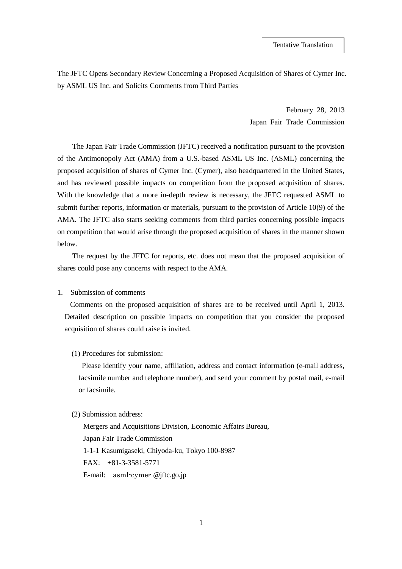The JFTC Opens Secondary Review Concerning a Proposed Acquisition of Shares of Cymer Inc. by ASML US Inc. and Solicits Comments from Third Parties

> February 28, 2013 Japan Fair Trade Commission

The Japan Fair Trade Commission (JFTC) received a notification pursuant to the provision of the Antimonopoly Act (AMA) from a U.S.-based ASML US Inc. (ASML) concerning the proposed acquisition of shares of Cymer Inc. (Cymer), also headquartered in the United States, and has reviewed possible impacts on competition from the proposed acquisition of shares. With the knowledge that a more in-depth review is necessary, the JFTC requested ASML to submit further reports, information or materials, pursuant to the provision of Article 10(9) of the AMA. The JFTC also starts seeking comments from third parties concerning possible impacts on competition that would arise through the proposed acquisition of shares in the manner shown below.

The request by the JFTC for reports, etc. does not mean that the proposed acquisition of shares could pose any concerns with respect to the AMA.

1. Submission of comments

Comments on the proposed acquisition of shares are to be received until April 1, 2013. Detailed description on possible impacts on competition that you consider the proposed acquisition of shares could raise is invited.

(1) Procedures for submission:

Please identify your name, affiliation, address and contact information (e-mail address, facsimile number and telephone number), and send your comment by postal mail, e-mail or facsimile.

## (2) Submission address:

Mergers and Acquisitions Division, Economic Affairs Bureau, Japan Fair Trade Commission 1-1-1 Kasumigaseki, Chiyoda-ku, Tokyo 100-8987 FAX: +81-3-3581-5771 E-mail: asml-cymer @jftc.go.jp